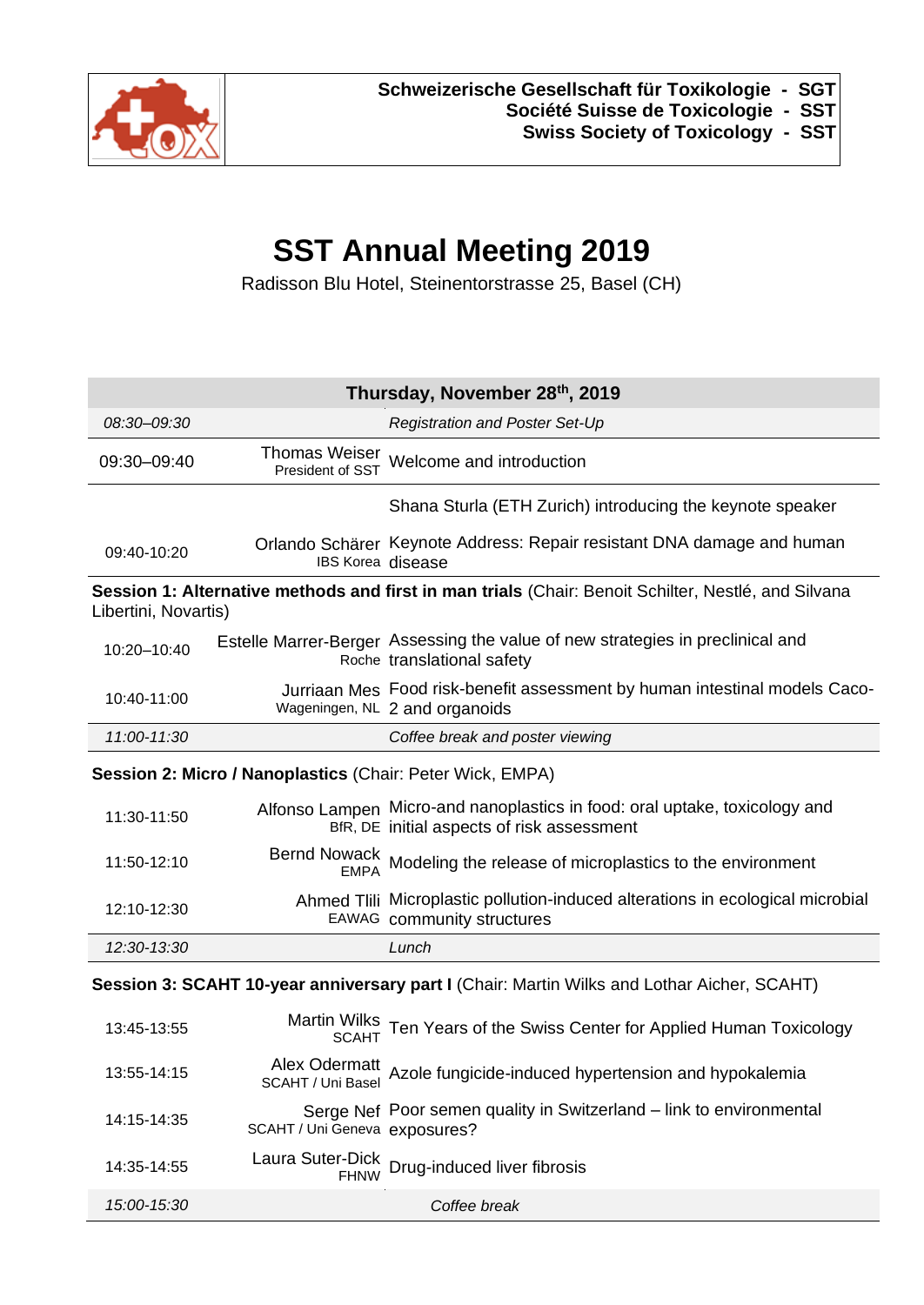

**Société Suisse de Toxicologie - SST**

**Swiss Society of Toxicology - SST**

## **SST Annual Meeting 2019**

Radisson Blu Hotel, Steinentorstrasse 25, Basel (CH)

| Thursday, November 28th, 2019                                                                                               |                                    |                                                                                                                          |  |  |
|-----------------------------------------------------------------------------------------------------------------------------|------------------------------------|--------------------------------------------------------------------------------------------------------------------------|--|--|
| 08:30-09:30                                                                                                                 |                                    | Registration and Poster Set-Up                                                                                           |  |  |
| 09:30-09:40                                                                                                                 | President of SST                   | Thomas Weiser Welcome and introduction                                                                                   |  |  |
|                                                                                                                             |                                    | Shana Sturla (ETH Zurich) introducing the keynote speaker                                                                |  |  |
| 09:40-10:20                                                                                                                 | <b>IBS Korea disease</b>           | Orlando Schärer Keynote Address: Repair resistant DNA damage and human                                                   |  |  |
| Session 1: Alternative methods and first in man trials (Chair: Benoit Schilter, Nestlé, and Silvana<br>Libertini, Novartis) |                                    |                                                                                                                          |  |  |
| 10:20-10:40                                                                                                                 |                                    | Estelle Marrer-Berger Assessing the value of new strategies in preclinical and<br>Roche translational safety             |  |  |
| 10:40-11:00                                                                                                                 |                                    | Jurriaan Mes Food risk-benefit assessment by human intestinal models Caco-<br>Wageningen, NL 2 and organoids             |  |  |
| 11:00-11:30                                                                                                                 |                                    | Coffee break and poster viewing                                                                                          |  |  |
| Session 2: Micro / Nanoplastics (Chair: Peter Wick, EMPA)                                                                   |                                    |                                                                                                                          |  |  |
| 11:30-11:50                                                                                                                 |                                    | Alfonso Lampen Micro-and nanoplastics in food: oral uptake, toxicology and<br>BfR, DE initial aspects of risk assessment |  |  |
| 11:50-12:10                                                                                                                 | <b>Bernd Nowack</b><br><b>EMPA</b> | Modeling the release of microplastics to the environment                                                                 |  |  |
| 12:10-12:30                                                                                                                 |                                    | Ahmed Tlili Microplastic pollution-induced alterations in ecological microbial<br><b>EAWAG</b> community structures      |  |  |
| 12:30-13:30                                                                                                                 |                                    | Lunch                                                                                                                    |  |  |
| Session 3: SCAHT 10-year anniversary part I (Chair: Martin Wilks and Lothar Aicher, SCAHT)                                  |                                    |                                                                                                                          |  |  |
| 13:45-13:55                                                                                                                 |                                    | Martin Wilks Ten Years of the Swiss Center for Applied Human Toxicology                                                  |  |  |
| 13:55-14:15                                                                                                                 | SCAHT / Uni Basel                  | Alex Odermatt Azole fungicide-induced hypertension and hypokalemia                                                       |  |  |
| 14:15-14:35                                                                                                                 | SCAHT / Uni Geneva exposures?      | Serge Nef Poor semen quality in Switzerland - link to environmental                                                      |  |  |
| 14:35-14:55                                                                                                                 | Laura Suter-Dick<br><b>FHNW</b>    | Drug-induced liver fibrosis                                                                                              |  |  |
| 15:00-15:30                                                                                                                 |                                    | Coffee break                                                                                                             |  |  |